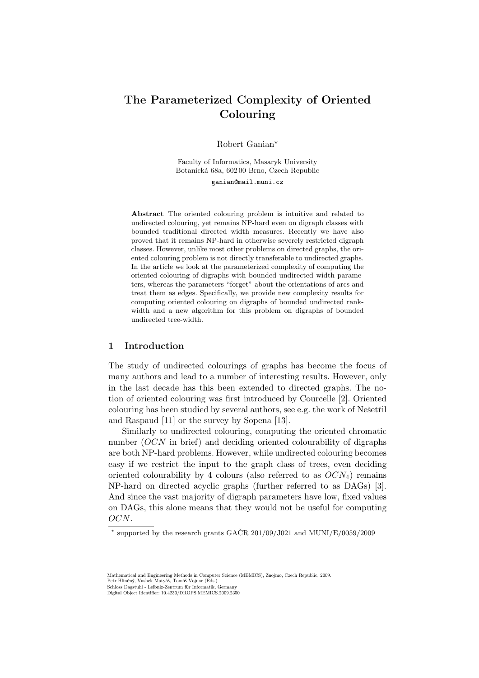# The Parameterized Complexity of Oriented Colouring

Robert Ganian★

Faculty of Informatics, Masaryk University Botanická 68a, 602 00 Brno, Czech Republic

ganian@mail.muni.cz

Abstract The oriented colouring problem is intuitive and related to undirected colouring, yet remains NP-hard even on digraph classes with bounded traditional directed width measures. Recently we have also proved that it remains NP-hard in otherwise severely restricted digraph classes. However, unlike most other problems on directed graphs, the oriented colouring problem is not directly transferable to undirected graphs. In the article we look at the parameterized complexity of computing the oriented colouring of digraphs with bounded undirected width parameters, whereas the parameters "forget" about the orientations of arcs and treat them as edges. Specifically, we provide new complexity results for computing oriented colouring on digraphs of bounded undirected rankwidth and a new algorithm for this problem on digraphs of bounded undirected tree-width.

## 1 Introduction

The study of undirected colourings of graphs has become the focus of many authors and lead to a number of interesting results. However, only in the last decade has this been extended to directed graphs. The notion of oriented colouring was first introduced by Courcelle [2]. Oriented colouring has been studied by several authors, see e.g. the work of Nešetřil and Raspaud [11] or the survey by Sopena [13].

Similarly to undirected colouring, computing the oriented chromatic number  $(OCN$  in brief) and deciding oriented colourability of digraphs are both NP-hard problems. However, while undirected colouring becomes easy if we restrict the input to the graph class of trees, even deciding oriented colourability by 4 colours (also referred to as  $OCN<sub>4</sub>$ ) remains NP-hard on directed acyclic graphs (further referred to as DAGs) [3]. And since the vast majority of digraph parameters have low, fixed values on DAGs, this alone means that they would not be useful for computing  $OCN$ .

Mathematical and Engineering Methods in Computer Science (MEMICS), Znojmo, Czech Republic, 2009. Petr Hliněný, Vashek Matyáš, Tomáš Vojnar (Eds.) Schloss Dagstuhl - Leibniz-Zentrum für Informatik, Germany

Digital Object Identifier: 10.4230/DROPS.MEMICS.2009.2350

 $^*$  supported by the research grants GAČR 201/09/J021 and MUNI/E/0059/2009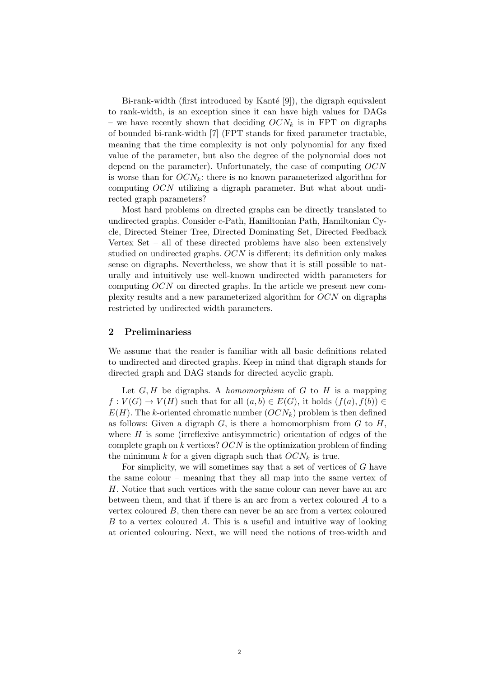Bi-rank-width (first introduced by Kanté  $[9]$ ), the digraph equivalent to rank-width, is an exception since it can have high values for DAGs – we have recently shown that deciding  $OCN_k$  is in FPT on digraphs of bounded bi-rank-width [7] (FPT stands for fixed parameter tractable, meaning that the time complexity is not only polynomial for any fixed value of the parameter, but also the degree of the polynomial does not depend on the parameter). Unfortunately, the case of computing  $OCN$ is worse than for  $OCN_k$ : there is no known parameterized algorithm for computing  $OCN$  utilizing a digraph parameter. But what about undirected graph parameters?

Most hard problems on directed graphs can be directly translated to undirected graphs. Consider c-Path, Hamiltonian Path, Hamiltonian Cycle, Directed Steiner Tree, Directed Dominating Set, Directed Feedback Vertex Set – all of these directed problems have also been extensively studied on undirected graphs.  $OCN$  is different; its definition only makes sense on digraphs. Nevertheless, we show that it is still possible to naturally and intuitively use well-known undirected width parameters for computing  $OCN$  on directed graphs. In the article we present new complexity results and a new parameterized algorithm for  $OCN$  on digraphs restricted by undirected width parameters.

## 2 Preliminariess

We assume that the reader is familiar with all basic definitions related to undirected and directed graphs. Keep in mind that digraph stands for directed graph and DAG stands for directed acyclic graph.

Let  $G, H$  be digraphs. A *homomorphism* of  $G$  to  $H$  is a mapping  $f: V(G) \to V(H)$  such that for all  $(a, b) \in E(G)$ , it holds  $(f(a), f(b)) \in E(G)$  $E(H)$ . The k-oriented chromatic number  $(OCN_k)$  problem is then defined as follows: Given a digraph  $G$ , is there a homomorphism from  $G$  to  $H$ , where  $H$  is some (irreflexive antisymmetric) orientation of edges of the complete graph on  $k$  vertices?  $OCN$  is the optimization problem of finding the minimum  $k$  for a given digraph such that  $OCN_k$  is true.

For simplicity, we will sometimes say that a set of vertices of  $G$  have the same colour – meaning that they all map into the same vertex of H. Notice that such vertices with the same colour can never have an arc between them, and that if there is an arc from a vertex coloured  $A$  to a vertex coloured  $B$ , then there can never be an arc from a vertex coloured  $B$  to a vertex coloured  $A$ . This is a useful and intuitive way of looking at oriented colouring. Next, we will need the notions of tree-width and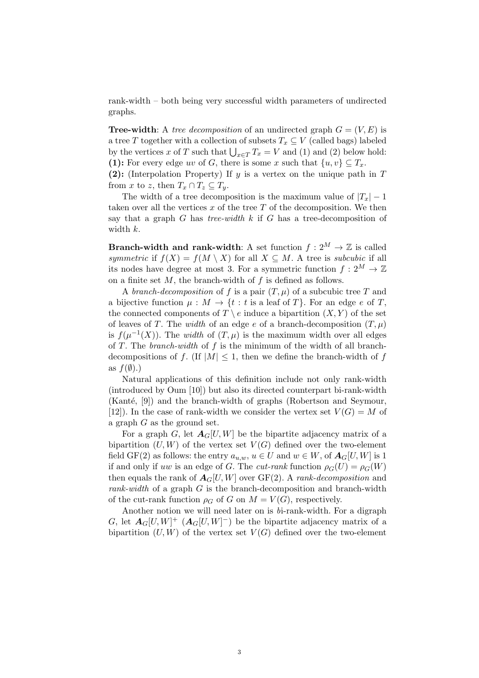rank-width – both being very successful width parameters of undirected graphs.

**Tree-width:** A tree decomposition of an undirected graph  $G = (V, E)$  is a tree T together with a collection of subsets  $T_x \subseteq V$  (called bags) labeled by the vertices x of T such that  $\bigcup_{x \in T} T_x = V$  and (1) and (2) below hold: (1): For every edge uv of G, there is some x such that  $\{u, v\} \subseteq T_x$ .

(2): (Interpolation Property) If  $y$  is a vertex on the unique path in  $T$ from x to z, then  $T_x \cap T_z \subseteq T_y$ .

The width of a tree decomposition is the maximum value of  $|T_x| - 1$ taken over all the vertices  $x$  of the tree  $T$  of the decomposition. We then say that a graph  $G$  has tree-width  $k$  if  $G$  has a tree-decomposition of width  $k$ .

**Branch-width and rank-width:** A set function  $f: 2^M \to \mathbb{Z}$  is called symmetric if  $f(X) = f(M \setminus X)$  for all  $X \subseteq M$ . A tree is subcubic if all its nodes have degree at most 3. For a symmetric function  $f: 2^M \to \mathbb{Z}$ on a finite set  $M$ , the branch-width of  $f$  is defined as follows.

A branch-decomposition of f is a pair  $(T, \mu)$  of a subcubic tree T and a bijective function  $\mu : M \to \{t : t \text{ is a leaf of } T\}$ . For an edge e of T, the connected components of  $T \setminus e$  induce a bipartition  $(X, Y)$  of the set of leaves of T. The width of an edge  $e$  of a branch-decomposition  $(T, \mu)$ is  $f(\mu^{-1}(X))$ . The *width* of  $(T, \mu)$  is the maximum width over all edges of  $T$ . The *branch-width* of  $f$  is the minimum of the width of all branchdecompositions of f. (If |M|  $\leq$  1, then we define the branch-width of f as  $f(\emptyset)$ .)

Natural applications of this definition include not only rank-width (introduced by Oum [10]) but also its directed counterpart bi-rank-width  $(Kanté, [9])$  and the branch-width of graphs (Robertson and Seymour, [12]). In the case of rank-width we consider the vertex set  $V(G) = M$  of a graph  $G$  as the ground set.

For a graph G, let  $A_G[U, W]$  be the bipartite adjacency matrix of a bipartition  $(U, W)$  of the vertex set  $V(G)$  defined over the two-element field GF(2) as follows: the entry  $a_{u,w}$ ,  $u \in U$  and  $w \in W$ , of  $A_G[U, W]$  is 1 if and only if uw is an edge of G. The cut-rank function  $\rho_G(U) = \rho_G(W)$ then equals the rank of  $A_G[U,W]$  over GF(2). A rank-decomposition and rank-width of a graph  $G$  is the branch-decomposition and branch-width of the cut-rank function  $\rho_G$  of G on  $M = V(G)$ , respectively.

Another notion we will need later on is bi-rank-width. For a digraph G, let  $A_G[U,W]^+$   $(A_G[U,W]^-)$  be the bipartite adjacency matrix of a bipartition  $(U, W)$  of the vertex set  $V(G)$  defined over the two-element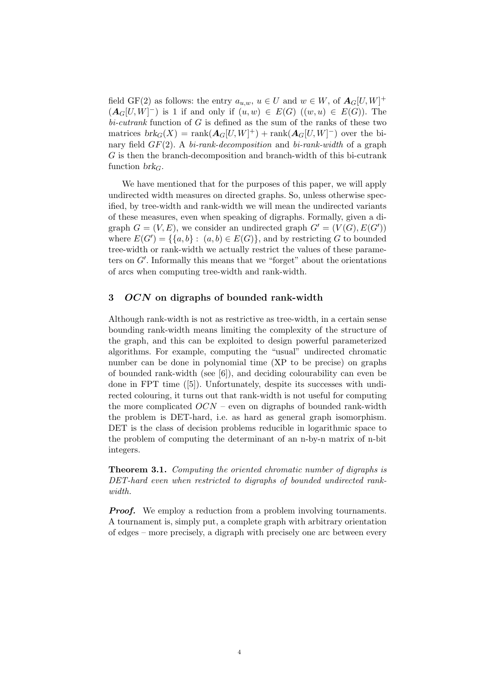field GF(2) as follows: the entry  $a_{u,w}$ ,  $u \in U$  and  $w \in W$ , of  $A_G[U, W]^+$  $(\mathbf{A}_G[U,W]^-)$  is 1 if and only if  $(u, w) \in E(G)$   $((w, u) \in E(G))$ . The  $bi-cutrank$  function of  $G$  is defined as the sum of the ranks of these two matrices  $brk_G(X) = \text{rank}(\mathbf{A}_G[U, W]^+) + \text{rank}(\mathbf{A}_G[U, W]^-)$  over the binary field  $GF(2)$ . A bi-rank-decomposition and bi-rank-width of a graph  $G$  is then the branch-decomposition and branch-width of this bi-cutrank function  $brk<sub>G</sub>$ .

We have mentioned that for the purposes of this paper, we will apply undirected width measures on directed graphs. So, unless otherwise specified, by tree-width and rank-width we will mean the undirected variants of these measures, even when speaking of digraphs. Formally, given a digraph  $G = (V, E)$ , we consider an undirected graph  $G' = (V(G), E(G'))$ where  $E(G') = \{ \{a, b\} : (a, b) \in E(G) \}$ , and by restricting G to bounded tree-width or rank-width we actually restrict the values of these parameters on  $G'$ . Informally this means that we "forget" about the orientations of arcs when computing tree-width and rank-width.

## 3  $OCN$  on digraphs of bounded rank-width

Although rank-width is not as restrictive as tree-width, in a certain sense bounding rank-width means limiting the complexity of the structure of the graph, and this can be exploited to design powerful parameterized algorithms. For example, computing the "usual" undirected chromatic number can be done in polynomial time (XP to be precise) on graphs of bounded rank-width (see [6]), and deciding colourability can even be done in FPT time ([5]). Unfortunately, despite its successes with undirected colouring, it turns out that rank-width is not useful for computing the more complicated  $OCN$  – even on digraphs of bounded rank-width the problem is DET-hard, i.e. as hard as general graph isomorphism. DET is the class of decision problems reducible in logarithmic space to the problem of computing the determinant of an n-by-n matrix of n-bit integers.

**Theorem 3.1.** Computing the oriented chromatic number of digraphs is DET-hard even when restricted to digraphs of bounded undirected rankwidth.

**Proof.** We employ a reduction from a problem involving tournaments. A tournament is, simply put, a complete graph with arbitrary orientation of edges – more precisely, a digraph with precisely one arc between every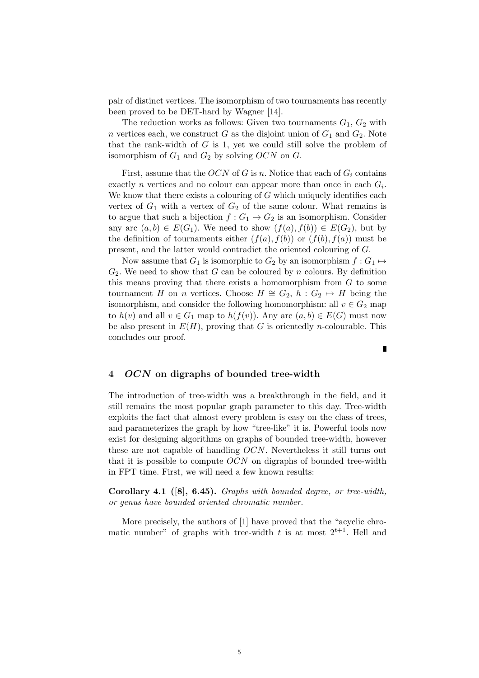pair of distinct vertices. The isomorphism of two tournaments has recently been proved to be DET-hard by Wagner [14].

The reduction works as follows: Given two tournaments  $G_1, G_2$  with *n* vertices each, we construct G as the disjoint union of  $G_1$  and  $G_2$ . Note that the rank-width of  $G$  is 1, yet we could still solve the problem of isomorphism of  $G_1$  and  $G_2$  by solving  $OCN$  on  $G$ .

First, assume that the OCN of G is n. Notice that each of  $G_i$  contains exactly *n* vertices and no colour can appear more than once in each  $G_i$ . We know that there exists a colouring of  $G$  which uniquely identifies each vertex of  $G_1$  with a vertex of  $G_2$  of the same colour. What remains is to argue that such a bijection  $f: G_1 \mapsto G_2$  is an isomorphism. Consider any arc  $(a, b) \in E(G_1)$ . We need to show  $(f(a), f(b)) \in E(G_2)$ , but by the definition of tournaments either  $(f(a), f(b))$  or  $(f(b), f(a))$  must be present, and the latter would contradict the oriented colouring of  $G$ .

Now assume that  $G_1$  is isomorphic to  $G_2$  by an isomorphism  $f: G_1 \mapsto$  $G_2$ . We need to show that G can be coloured by n colours. By definition this means proving that there exists a homomorphism from  $G$  to some tournament H on n vertices. Choose  $H \cong G_2$ ,  $h : G_2 \mapsto H$  being the isomorphism, and consider the following homomorphism: all  $v \in G_2$  map to  $h(v)$  and all  $v \in G_1$  map to  $h(f(v))$ . Any arc  $(a, b) \in E(G)$  must now be also present in  $E(H)$ , proving that G is orientedly *n*-colourable. This concludes our proof.

#### 4 OCN on digraphs of bounded tree-width

The introduction of tree-width was a breakthrough in the field, and it still remains the most popular graph parameter to this day. Tree-width exploits the fact that almost every problem is easy on the class of trees, and parameterizes the graph by how "tree-like" it is. Powerful tools now exist for designing algorithms on graphs of bounded tree-width, however these are not capable of handling  $OCN$ . Nevertheless it still turns out that it is possible to compute  $OCN$  on digraphs of bounded tree-width in FPT time. First, we will need a few known results:

Corollary 4.1 ([8], 6.45). Graphs with bounded degree, or tree-width, or genus have bounded oriented chromatic number.

More precisely, the authors of [1] have proved that the "acyclic chromatic number" of graphs with tree-width  $t$  is at most  $2^{t+1}$ . Hell and

Г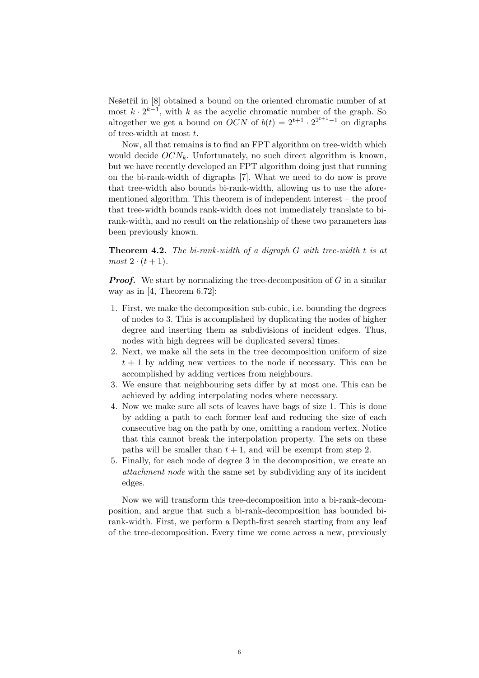Nešetřil in [8] obtained a bound on the oriented chromatic number of at most  $k \cdot 2^{k-1}$ , with k as the acyclic chromatic number of the graph. So altogether we get a bound on  $OCN$  of  $b(t) = 2^{t+1} \cdot 2^{2^{t+1}-1}$  on digraphs of tree-width at most  $t$ .

Now, all that remains is to find an FPT algorithm on tree-width which would decide  $OCN_k$ . Unfortunately, no such direct algorithm is known, but we have recently developed an FPT algorithm doing just that running on the bi-rank-width of digraphs [7]. What we need to do now is prove that tree-width also bounds bi-rank-width, allowing us to use the aforementioned algorithm. This theorem is of independent interest – the proof that tree-width bounds rank-width does not immediately translate to birank-width, and no result on the relationship of these two parameters has been previously known.

**Theorem 4.2.** The bi-rank-width of a digraph  $G$  with tree-width  $t$  is at  $most 2 \cdot (t+1).$ 

**Proof.** We start by normalizing the tree-decomposition of  $G$  in a similar way as in [4, Theorem 6.72]:

- 1. First, we make the decomposition sub-cubic, i.e. bounding the degrees of nodes to 3. This is accomplished by duplicating the nodes of higher degree and inserting them as subdivisions of incident edges. Thus, nodes with high degrees will be duplicated several times.
- 2. Next, we make all the sets in the tree decomposition uniform of size  $t+1$  by adding new vertices to the node if necessary. This can be accomplished by adding vertices from neighbours.
- 3. We ensure that neighbouring sets differ by at most one. This can be achieved by adding interpolating nodes where necessary.
- 4. Now we make sure all sets of leaves have bags of size 1. This is done by adding a path to each former leaf and reducing the size of each consecutive bag on the path by one, omitting a random vertex. Notice that this cannot break the interpolation property. The sets on these paths will be smaller than  $t + 1$ , and will be exempt from step 2.
- 5. Finally, for each node of degree 3 in the decomposition, we create an attachment node with the same set by subdividing any of its incident edges.

Now we will transform this tree-decomposition into a bi-rank-decomposition, and argue that such a bi-rank-decomposition has bounded birank-width. First, we perform a Depth-first search starting from any leaf of the tree-decomposition. Every time we come across a new, previously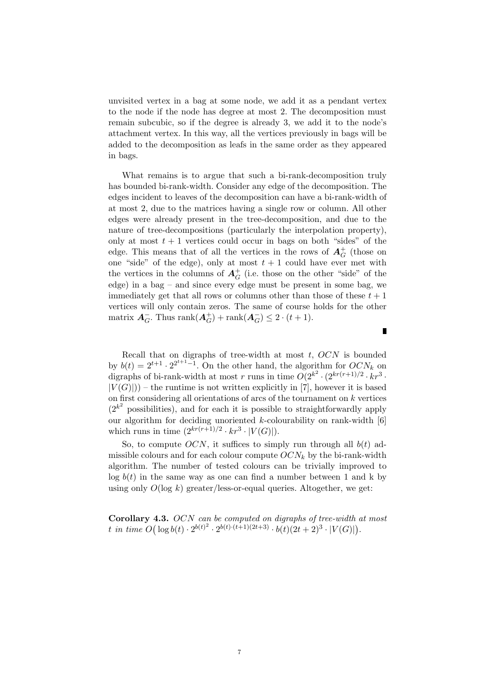unvisited vertex in a bag at some node, we add it as a pendant vertex to the node if the node has degree at most 2. The decomposition must remain subcubic, so if the degree is already 3, we add it to the node's attachment vertex. In this way, all the vertices previously in bags will be added to the decomposition as leafs in the same order as they appeared in bags.

What remains is to argue that such a bi-rank-decomposition truly has bounded bi-rank-width. Consider any edge of the decomposition. The edges incident to leaves of the decomposition can have a bi-rank-width of at most 2, due to the matrices having a single row or column. All other edges were already present in the tree-decomposition, and due to the nature of tree-decompositions (particularly the interpolation property), only at most  $t + 1$  vertices could occur in bags on both "sides" of the edge. This means that of all the vertices in the rows of  $A_G^+$  (those on one "side" of the edge), only at most  $t + 1$  could have ever met with the vertices in the columns of  $A_G^+$  (i.e. those on the other "side" of the edge) in a bag – and since every edge must be present in some bag, we immediately get that all rows or columns other than those of these  $t+1$ vertices will only contain zeros. The same of course holds for the other matrix  $A_G^-$ . Thus  $\text{rank}(A_G^+)$  +  $\text{rank}(A_G^-) \leq 2 \cdot (t+1)$ .

Recall that on digraphs of tree-width at most  $t, OCN$  is bounded by  $b(t) = 2^{t+1} \cdot 2^{2^{t+1}-1}$ . On the other hand, the algorithm for  $OCN_k$  on digraphs of bi-rank-width at most r runs in time  $O(2^{k^2} \cdot (2^{kr(r+1)/2} \cdot kr^3 \cdot$  $|V(G)|$ ) – the runtime is not written explicitly in [7], however it is based on first considering all orientations of arcs of the tournament on  $k$  vertices  $(2^{k^2}$  possibilities), and for each it is possible to straightforwardly apply our algorithm for deciding unoriented  $k$ -colourability on rank-width  $[6]$ which runs in time  $(2^{kr(r+1)/2} \cdot kr^3 \cdot |V(G)|)$ .

So, to compute  $OCN$ , it suffices to simply run through all  $b(t)$  admissible colours and for each colour compute  $OCN_k$  by the bi-rank-width algorithm. The number of tested colours can be trivially improved to  $log b(t)$  in the same way as one can find a number between 1 and k by using only  $O(\log k)$  greater/less-or-equal queries. Altogether, we get:

Corollary 4.3. OCN can be computed on digraphs of tree-width at most t in time  $O(|\log b(t) \cdot 2^{b(t)^2} \cdot 2^{b(t) \cdot (t+1)(2t+3)} \cdot b(t)(2t+2)^3 \cdot |V(G)|)$ .

Ī